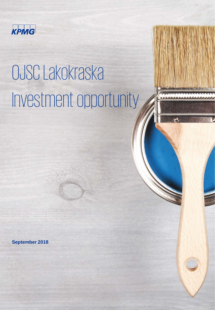

# OJSC Lakokraska Investment opportunity



 $\ddot{\bullet}$ 

**September 2018**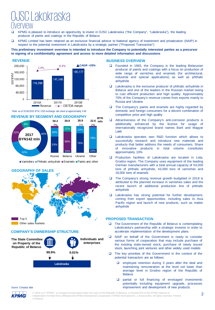### OJSC Lakokraska Overview

- KPMG is pleased to introduce an opportunity to invest in OJSC Lakokraska ("the Company", "Lakokraska"), the leading producer of paints and coatings in the Republic of Belarus
- KPMG Limited has been retained as an exclusive financial advisor to National agency of investment and privatization (NAIP) in respect to the potential investment in Lakokraska by a strategic partner ("Proposed Transaction")

#### **This preliminary investment overview is intended to introduce the Company to potentially interested parties as a precursor to signing of a confidentiality agreement and access to more detailed information and discussions**

#### **REVENUE**



#### *\*Note: as of 10.08.2018 BYN / USD exchange rate stood at approximately 0.49*



■Varnishes ■Phthalic anhydride ■Enamels ■Paints and other





#### **COMPANY'S OWNERSHIP STRUCTURE**



#### **BUSINESS OVERVIEW**

- Founded in 1965, the Company is the leading Belarusian producer of paints and coatings with a focus on production of wide range of varnishes and enamels (for architectural, industrial and special applications) as well as phthalic anhydride
- Lakokraska is the exclusive producer of phthalic anhydride in Belarus and one of the leaders in the Russian market owing to cost efficient production and high quality. Approximately 70% of the Company's revenue comes from exports mainly to Russia and Ukraine
- $\Box$  The Company's paints and enamels are highly regarded by domestic and foreign consumers for a decent combination of competitive price and high quality
- Attractiveness of the Company's anti-corrosion products is additionally enhanced by the license for usage of internationally recognized brand names Baril and Magyar Lakk
- Lakokraska operates own R&D function which allows to successfully research and introduce new materials and products that better address the needs of consumers. Share of innovative products in total volume constitutes approximately 10%
- **Q** Production facilities of Lakokraska are located in Lida, Grodno region. The Company uses equipment of the leading German manufacturers with a total annual capacity of 54,000 tons of phthalic anhydride, 43,000 tons of varnishes and 18,000 tons of enamels
- □ The Company's strong revenue growth budgeted in 2018 is attributed to the planned increase in varnishes sales and the recent launch of additional production line of phthalic anhydride
- **Lakokraska has strong potential for further development,** coming from export opportunities, including sales to Asia Pacific region and launch of new products, such as maleic anhydride

#### **PROPOSED TRANSACTION**

- The Government of the Republic of Belarus is contemplating Lakokraska's partnership with a strategic investor in order to accelerate implementation of the development plans
- □ NAIP on behalf of the Government is ready to consider various forms of cooperation that may include purchase of the existing state-owned stock, purchase of newly issued stock, launching joint ventures and other widely used models
- $\Box$  The key priorities of the Government in the context of the potential transaction are as follows:
	- **Q** employee retention during 3 years after the deal and maintaining remuneration at the level not lower than average level in Grodno region of the Republic of **Belarus**
	- **Q** partial or full financing of envisaged investments potentially including equipment upgrade, processes improvement and development of new products

*Source: Company data* КРМС

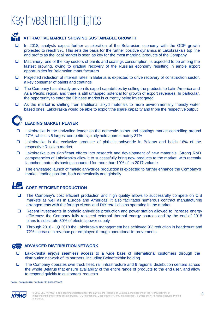

#### **ATTRACTIVE MARKET SHOWING SUSTAINABLE GROWTH**

- In 2018, analysts expect further acceleration of the Belarusian economy with the GDP growth projected to reach 3%. This sets the basis for the further positive dynamics in Lakokraska's top line and profits as the local market is seen as key for the most marginal products of the Company
- $\Box$  Machinery, one of the key sectors of paints and coatings consumption, is expected to be among the fastest growing, owing to gradual recovery of the Russian economy resulting in ample export opportunities for Belarusian manufacturers
- **D** Projected reduction of interest rates in Belarus is expected to drive recovery of construction sector, a key consumer of paints and coatings
- $\Box$  The Company has already proven its export capabilities by selling the products to Latin America and Asia Pacific region, and there is still untapped potential for growth of export revenues. In particular, the opportunity to enter the Chinese market is currently being investigated
- $\Box$  As the market is shifting from traditional alkyd materials to more environmentally friendly water based ones, Lakokraska would be able to exploit the spare capacity and triple the respective output



#### **LEADING MARKET PLAYER**

- Lakokraska is the unrivalled leader on the domestic paints and coatings market controlling around 27%, while its 6 largest competitors jointly hold approximately 37%
- Lakokraska is the exclusive producer of phthalic anhydride in Belarus and holds 16% of the respective Russian market
- Lakokraska puts significant efforts into research and development of new materials. Strong R&D competencies of Lakokraska allow it to successfully bring new products to the market, with recently launched materials having accounted for more than 10% of its 2017 volume
- The envisaged launch of maleic anhydride production is expected to further enhance the Company's market leading position, both domestically and globally

#### 峦

#### **COST-EFFICIENT PRODUCTION**

- The Company's cost efficient production and high quality allows to successfully compete on CIS markets as well as in Europe and Americas. It also facilitates numerous contract manufacturing arrangements with the foreign clients and DIY retail chains operating in the market
- □ Recent investments in phthalic anhydride production and power station allowed to increase energy efficiency: the Company fully replaced external thermal energy sources and by the end of 2018 plans to substitute 30% of electric power supply
- Through 2016 1Q 2018 the Lakokraska management has achieved 9% reduction in headcount and 72% increase in revenue per employee through operational improvements

#### **ADVANCED DISTRIBUTION NETWORK**

- Lakokraska enjoys seamless access to a wide base of international customers through the distribution network of its partners, including Belneftekhim holding
- The Company operates own truck fleet, rail infrastructure and 9 regional distribution centers across the whole Belarus that ensure availability of the entire range of products to the end user, and allow to respond quickly to customers' requests

*Source: Company data, Sberbank CIB macro research*

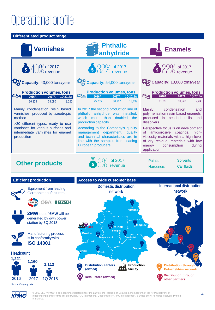# Operational profile

#### **Differentiated product range**



**Headcount**



**Brest Pinsk Distribution through Belneftekhim network Distribution through other partners Distribution centers (owned) Retail store (owned) Production facility**

КРМС

© 2018 LLC "KPMG", a company incorporated under the Laws of the Republic of Belarus, a member firm of the KPMG network of independent member firms affiliated with KPMG International Cooperative ("KPMG International"), a Swiss entity. All rights reserved. Printed in Belarus.